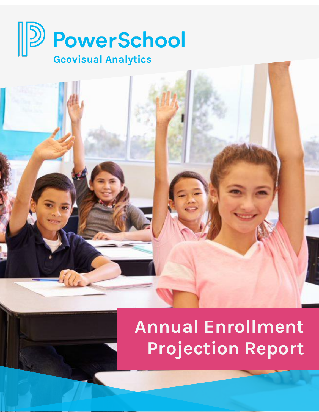



# **Annual Enrollment Projection Report**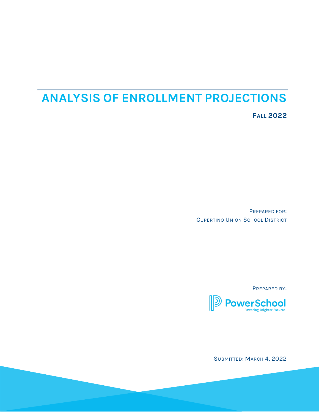## **ANALYSIS OF ENROLLMENT PROJECTIONS**

**FALL 2022**

PREPARED FOR: CUPERTINO UNION SCHOOL DISTRICT

PREPARED BY:



SUBMITTED: MARCH 4, 2022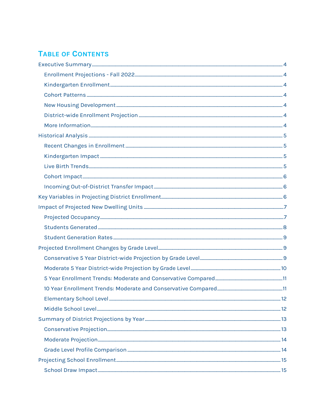## **TABLE OF CONTENTS**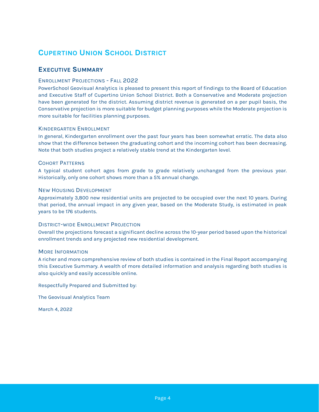## **CUPERTINO UNION SCHOOL DISTRICT**

#### **EXECUTIVE SUMMARY**

#### ENROLLMENT PROJECTIONS - FALL 2022

PowerSchool Geovisual Analytics is pleased to present this report of findings to the Board of Education and Executive Staff of Cupertino Union School District. Both a Conservative and Moderate projection have been generated for the district. Assuming district revenue is generated on a per pupil basis, the Conservative projection is more suitable for budget planning purposes while the Moderate projection is more suitable for facilities planning purposes.

#### KINDERGARTEN ENROLLMENT

In general, Kindergarten enrollment over the past four years has been somewhat erratic. The data also show that the difference between the graduating cohort and the incoming cohort has been decreasing. Note that both studies project a relatively stable trend at the Kindergarten level.

#### COHORT PATTERNS

A typical student cohort ages from grade to grade relatively unchanged from the previous year. Historically, only one cohort shows more than a 5% annual change.

#### NEW HOUSING DEVELOPMENT

Approximately 3,800 new residential units are projected to be occupied over the next 10 years. During that period, the annual impact in any given year, based on the Moderate Study, is estimated in peak years to be 176 students.

#### DISTRICT-WIDE ENROLLMENT PROJECTION

Overall the projections forecast a significant decline across the 10-year period based upon the historical enrollment trends and any projected new residential development.

#### MORE INFORMATION

A richer and more comprehensive review of both studies is contained in the Final Report accompanying this Executive Summary. A wealth of more detailed information and analysis regarding both studies is also quickly and easily accessible online.

Respectfully Prepared and Submitted by:

The Geovisual Analytics Team

March 4, 2022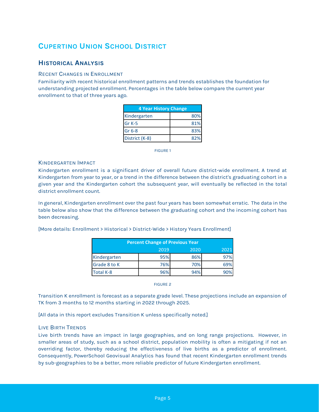## **CUPERTINO UNION SCHOOL DISTRICT**

#### **HISTORICAL ANALYSIS**

#### RECENT CHANGES IN ENROLLMENT

Familiarity with recent historical enrollment patterns and trends establishes the foundation for understanding projected enrollment. Percentages in the table below compare the current year enrollment to that of three years ago.

| <b>4 Year History Change</b> |     |
|------------------------------|-----|
| Kindergarten                 | 80% |
| Gr K-5                       | 81% |
| Gr 6-8                       | 83% |
| District (K-8)               | 82% |

FIGURE 1

#### KINDERGARTEN IMPACT

Kindergarten enrollment is a significant driver of overall future district-wide enrollment. A trend at Kindergarten from year to year, or a trend in the difference between the district's graduating cohort in a given year and the Kindergarten cohort the subsequent year, will eventually be reflected in the total district enrollment count.

In general, Kindergarten enrollment over the past four years has been somewhat erratic. The data in the table below also show that the difference between the graduating cohort and the incoming cohort has been decreasing.

[More details: Enrollment > Historical > District-Wide > History Years Enrollment]

| <b>Percent Change of Previous Year</b> |      |      |      |  |  |  |  |  |  |  |
|----------------------------------------|------|------|------|--|--|--|--|--|--|--|
|                                        | 2019 | 2020 | 2021 |  |  |  |  |  |  |  |
| Kindergarten                           | 95%  | 86%  | 97%  |  |  |  |  |  |  |  |
| Grade 8 to K                           | 76%  | 70%  | 69%  |  |  |  |  |  |  |  |
| Total K-8                              | 96%  | 94%  | 90%  |  |  |  |  |  |  |  |

FIGURE 2

Transition K enrollment is forecast as a separate grade level. These projections include an expansion of TK from 3 months to 12 months starting in 2022 through 2025.

[All data in this report excludes Transition K unless specifically noted.]

#### LIVE BIRTH TRENDS

Live birth trends have an impact in large geographies, and on long range projections. However, in smaller areas of study, such as a school district, population mobility is often a mitigating if not an overriding factor, thereby reducing the effectiveness of live births as a predictor of enrollment. Consequently, PowerSchool Geovisual Analytics has found that recent Kindergarten enrollment trends by sub-geographies to be a better, more reliable predictor of future Kindergarten enrollment.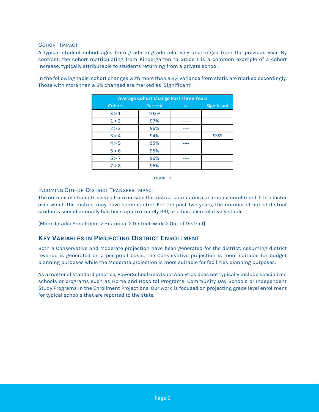#### COHORT IMPACT

A typical student cohort ages from grade to grade relatively unchanged from the previous year. By contrast, the cohort matriculating from Kindergarten to Grade 1 is a common example of a cohort increase, typically attributable to students returning from a private school.

| <b>Average Cohort Change Past Three Years</b> |         |       |             |  |  |  |  |  |  |  |
|-----------------------------------------------|---------|-------|-------------|--|--|--|--|--|--|--|
| Cohort                                        | Percent | $+/-$ | Significant |  |  |  |  |  |  |  |
| K > 1                                         | 102%    |       |             |  |  |  |  |  |  |  |
| 1 > 2                                         | 97%     |       |             |  |  |  |  |  |  |  |
| 2 > 3                                         | 96%     |       |             |  |  |  |  |  |  |  |
| 3 > 4                                         | 94%     |       | <b>SSSS</b> |  |  |  |  |  |  |  |
| 4 > 5                                         | 95%     |       |             |  |  |  |  |  |  |  |
| 5 > 6                                         | 95%     |       |             |  |  |  |  |  |  |  |
| 6 > 7                                         | 96%     |       |             |  |  |  |  |  |  |  |
| 7 > 8                                         | 96%     |       |             |  |  |  |  |  |  |  |

In the following table, cohort changes with more than a 2% variance from static are marked accordingly. Those with more than a 5% changed are marked as 'Significant'.



#### INCOMING OUT-OF-DISTRICT TRANSFER IMPACT

The number of students served from outside the district boundaries can impact enrollment. It is a factor over which the district may have some control. For the past two years, the number of out-of-district students served annually has been approximately 361, and has been relatively stable.

[More details: Enrollment > Historical > District-Wide > Out of District]

#### **KEY VARIABLES IN PROJECTING DISTRICT ENROLLMENT**

Both a Conservative and Moderate projection have been generated for the district. Assuming district revenue is generated on a per pupil basis, the Conservative projection is more suitable for budget planning purposes while the Moderate projection is more suitable for facilities planning purposes.

As a matter of standard practice, PowerSchool Geovisual Analytics does not typically include specialized schools or programs such as Home and Hospital Programs, Community Day Schools or Independent Study Programs in the Enrollment Projections. Our work is focused on projecting grade level enrollment for typical schools that are reported to the state.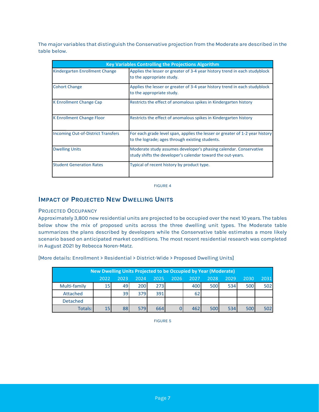The major variables that distinguish the Conservative projection from the Moderate are described in the table below.

|                                           | <b>Key Variables Controlling the Projections Algorithm</b>                                                                       |  |  |  |  |  |  |  |  |  |
|-------------------------------------------|----------------------------------------------------------------------------------------------------------------------------------|--|--|--|--|--|--|--|--|--|
| Kindergarten Enrollment Change            | Applies the lesser or greater of 3-4 year history trend in each studyblock<br>to the appropriate study.                          |  |  |  |  |  |  |  |  |  |
| <b>Cohort Change</b>                      | Applies the lesser or greater of 3-4 year history trend in each studyblock<br>to the appropriate study.                          |  |  |  |  |  |  |  |  |  |
| <b>K Enrollment Change Cap</b>            | Restricts the effect of anomalous spikes in Kindergarten history                                                                 |  |  |  |  |  |  |  |  |  |
| <b>K Enrollment Change Floor</b>          | Restricts the effect of anomalous spikes in Kindergarten history                                                                 |  |  |  |  |  |  |  |  |  |
| <b>Incoming Out-of-District Transfers</b> | For each grade level span, applies the lesser or greater of 1-2 year history<br>to the lograde; ages through existing students.  |  |  |  |  |  |  |  |  |  |
| <b>Dwelling Units</b>                     | Moderate study assumes developer's phasing calendar. Conservative<br>study shifts the developer's calendar toward the out-years. |  |  |  |  |  |  |  |  |  |
| <b>Student Generation Rates</b>           | Typical of recent history by product type.                                                                                       |  |  |  |  |  |  |  |  |  |

FIGURE 4

#### **IMPACT OF PROJECTED NEW DWELLING UNITS**

#### PROJECTED OCCUPANCY

Approximately 3,800 new residential units are projected to be occupied over the next 10 years. The tables below show the mix of proposed units across the three dwelling unit types. The Moderate table summarizes the plans described by developers while the Conservative table estimates a more likely scenario based on anticipated market conditions. The most recent residential research was completed in August 2021 by Rebecca Noren-Matz.

| New Dwelling Units Projected to be Occupied by Year (Moderate) |                 |      |      |      |      |      |      |      |      |      |  |
|----------------------------------------------------------------|-----------------|------|------|------|------|------|------|------|------|------|--|
|                                                                | 2022            | 2023 | 2024 | 2025 | 2026 | 2027 | 2028 | 2029 | 2030 | 2031 |  |
| Multi-family                                                   | 15 <sub>1</sub> | 49   | 200  | 273  |      | 400  | 500  | 534  | 500  | 502  |  |
| Attached                                                       |                 | 39   | 379  | 391  |      | 62   |      |      |      |      |  |
| <b>Detached</b>                                                |                 |      |      |      |      |      |      |      |      |      |  |
| Totals:                                                        | 15              | 88   | 579  | 664  |      | 462  | 500  | 534  | 500  | 502  |  |

[More details: Enrollment > Residential > District-Wide > Proposed Dwelling Units]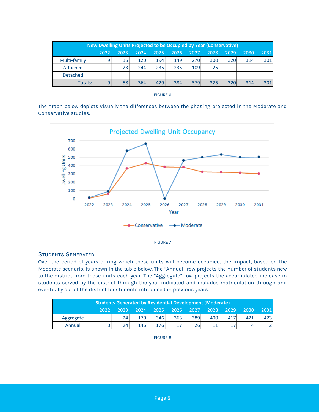| New Dwelling Units Projected to be Occupied by Year (Conservative) |      |                 |      |      |      |      |      |      |      |      |  |
|--------------------------------------------------------------------|------|-----------------|------|------|------|------|------|------|------|------|--|
|                                                                    | 2022 | 2023            | 2024 | 2025 | 2026 | 2027 | 2028 | 2029 | 2030 | 2031 |  |
| Multi-family                                                       | 9    | 35 <sub>1</sub> | 120  | 194  | 149  | 270  | 300  | 320  | 314  | 301  |  |
| Attached                                                           |      | 23              | 244  | 235  | 235  | 109  | 25   |      |      |      |  |
| <b>Detached</b>                                                    |      |                 |      |      |      |      |      |      |      |      |  |
| Totals:                                                            |      | 58              | 364  | 429  | 384  | 379  | 325  | 320  | 314  | 301  |  |

|  | <b>FIGURE</b> |  |
|--|---------------|--|
|  |               |  |

The graph below depicts visually the differences between the phasing projected in the Moderate and Conservative studies.





#### STUDENTS GENERATED

Over the period of years during which these units will become occupied, the impact, based on the Moderate scenario, is shown in the table below. The "Annual" row projects the number of students new to the district from these units each year. The "Aggregate" row projects the accumulated increase in students served by the district through the year indicated and includes matriculation through and eventually out of the district for students introduced in previous years.

| <b>Students Generated by Residential Development (Moderate)</b> |       |  |                  |                          |     |     |      |       |      |      |
|-----------------------------------------------------------------|-------|--|------------------|--------------------------|-----|-----|------|-------|------|------|
|                                                                 | 2022. |  |                  | 2023 2024 2025 2026 2027 |     |     | 2028 | .2029 | 2030 | 2031 |
| Aggregate                                                       |       |  |                  | 346                      | 363 | 389 | 400  |       |      |      |
| Annual                                                          |       |  | 146 <sub>1</sub> | 176                      |     | 26  |      |       |      |      |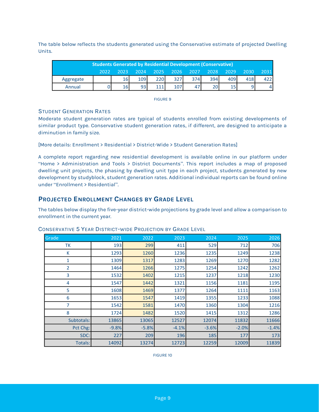The table below reflects the students generated using the Conservative estimate of projected Dwelling Units.

| <b>Students Generated by Residential Development (Conservative)</b> |       |    |     |     |                          |     |      |      |      |      |  |
|---------------------------------------------------------------------|-------|----|-----|-----|--------------------------|-----|------|------|------|------|--|
|                                                                     | 70221 |    |     |     | 2023 2024 2025 2026 2027 |     | 2028 | 2029 | 2030 | 2031 |  |
| Aggregate                                                           |       | 16 | 109 | 220 | 327                      | 374 | 394  | 409  | 418  | 4221 |  |
| Annual                                                              |       | 16 |     | 111 |                          |     | 20I  |      | 91   |      |  |

FIGURE 9

#### STUDENT GENERATION RATES

Moderate student generation rates are typical of students enrolled from existing developments of similar product type. Conservative student generation rates, if different, are designed to anticipate a diminution in family size.

[More details: Enrollment > Residential > District-Wide > Student Generation Rates]

A complete report regarding new residential development is available online in our platform under "Home > Administration and Tools > District Documents". This report includes a map of proposed dwelling unit projects, the phasing by dwelling unit type in each project, students generated by new development by studyblock, student generation rates. Additional individual reports can be found online under "Enrollment > Residential".

#### **PROJECTED ENROLLMENT CHANGES BY GRADE LEVEL**

The tables below display the five-year district-wide projections by grade level and allow a comparison to enrollment in the current year.

| Grade      | 2021    | 2022    | 2023    | 2024    | 2025    | 2026    |
|------------|---------|---------|---------|---------|---------|---------|
| ТK         | 193     | 299     | 411     | 529     | 712     | 706     |
| K          | 1293    | 1260    | 1236    | 1235    | 1249    | 1238    |
| 1          | 1309    | 1317    | 1283    | 1269    | 1270    | 1282    |
| 2          | 1464    | 1266    | 1275    | 1254    | 1242    | 1262    |
| 3          | 1532    | 1402    | 1215    | 1237    | 1218    | 1230    |
| 4          | 1547    | 1442    | 1321    | 1156    | 1181    | 1195    |
| 5          | 1608    | 1469    | 1377    | 1264    | 1111    | 1163    |
| 6          | 1653    | 1547    | 1419    | 1355    | 1233    | 1088    |
| 7          | 1542    | 1581    | 1470    | 1360    | 1304    | 1216    |
| 8          | 1724    | 1482    | 1520    | 1415    | 1312    | 1286    |
| Subtotals: | 13865   | 13065   | 12527   | 12074   | 11832   | 11666   |
| Pct Chg:   | $-9.8%$ | $-5.8%$ | $-4.1%$ | $-3.6%$ | $-2.0%$ | $-1.4%$ |
| SDC:       | 227     | 209     | 196     | 185     | 177     | 173     |
| Totals:    | 14092   | 13274   | 12723   | 12259   | 12009   | 11839   |

#### CONSERVATIVE 5 YEAR DISTRICT-WIDE PROJECTION BY GRADE LEVEL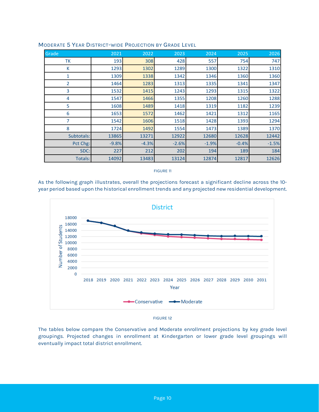| Grade          | 2021    | 2022    | 2023    | 2024    | 2025    | 2026    |
|----------------|---------|---------|---------|---------|---------|---------|
| ТK             | 193     | 308     | 428     | 557     | 754     | 747     |
| К              | 1293    | 1302    | 1289    | 1300    | 1322    | 1310    |
| 1              | 1309    | 1338    | 1342    | 1346    | 1360    | 1360    |
| $\overline{2}$ | 1464    | 1283    | 1313    | 1335    | 1341    | 1347    |
| 3              | 1532    | 1415    | 1243    | 1293    | 1315    | 1322    |
| 4              | 1547    | 1466    | 1355    | 1208    | 1260    | 1288    |
| 5              | 1608    | 1489    | 1418    | 1319    | 1182    | 1239    |
| 6              | 1653    | 1572    | 1462    | 1421    | 1312    | 1165    |
| 7              | 1542    | 1606    | 1518    | 1428    | 1393    | 1294    |
| 8              | 1724    | 1492    | 1554    | 1473    | 1389    | 1370    |
| Subtotals:     | 13865   | 13271   | 12922   | 12680   | 12628   | 12442   |
| Pct Chg:       | $-9.8%$ | $-4.3%$ | $-2.6%$ | $-1.9%$ | $-0.4%$ | $-1.5%$ |
| SDC:           | 227     | 212     | 202     | 194     | 189     | 184     |
| Totals:        | 14092   | 13483   | 13124   | 12874   | 12817   | 12626   |

#### MODERATE 5 YEAR DISTRICT-WIDE PROJECTION BY GRADE LEVEL

#### FIGURE 11

As the following graph illustrates, overall the projections forecast a significant decline across the 10 year period based upon the historical enrollment trends and any projected new residential development.



#### FIGURE 12

The tables below compare the Conservative and Moderate enrollment projections by key grade level groupings. Projected changes in enrollment at Kindergarten or lower grade level groupings will eventually impact total district enrollment.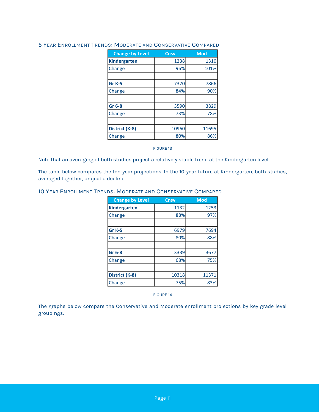| <b>Change by Level</b> | Cnsv  | <b>Mod</b> |
|------------------------|-------|------------|
| <b>Kindergarten</b>    | 1238  | 1310       |
| Change                 | 96%   | 101%       |
|                        |       |            |
| Gr <sub>K-5</sub>      | 7370  | 7866       |
| Change                 | 84%   | 90%        |
|                        |       |            |
| Gr 6-8                 | 3590  | 3829       |
| Change                 | 73%   | 78%        |
|                        |       |            |
| District (K-8)         | 10960 | 11695      |
| Change                 | 80%   | 86%        |

#### 5 YEAR ENROLLMENT TRENDS: MODERATE AND CONSERVATIVE COMPARED

#### FIGURE 13

Note that an averaging of both studies project a relatively stable trend at the Kindergarten level.

The table below compares the ten-year projections. In the 10-year future at Kindergarten, both studies, averaged together, project a decline.

#### 10 YEAR ENROLLMENT TRENDS: MODERATE AND CONSERVATIVE COMPARED

| Cnsv  | <b>Mod</b> |
|-------|------------|
| 1132  | 1253       |
| 88%   | 97%        |
|       |            |
| 6979  | 7694       |
| 80%   | 88%        |
|       |            |
| 3339  | 3677       |
| 68%   | 75%        |
|       |            |
| 10318 | 11371      |
| 75%   | 83%        |
|       |            |

FIGURE 14

The graphs below compare the Conservative and Moderate enrollment projections by key grade level groupings.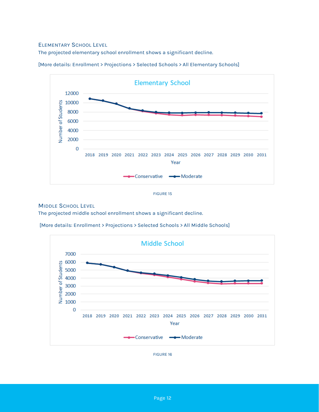#### ELEMENTARY SCHOOL LEVEL

The projected elementary school enrollment shows a significant decline.



[More details: Enrollment > Projections > Selected Schools > All Elementary Schools]



#### MIDDLE SCHOOL LEVEL

The projected middle school enrollment shows a significant decline.

[More details: Enrollment > Projections > Selected Schools > All Middle Schools]



FIGURE 16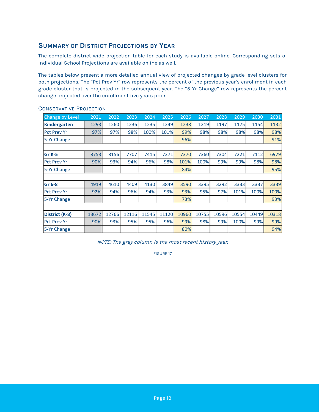#### **SUMMARY OF DISTRICT PROJECTIONS BY YEAR**

The complete district-wide projection table for each study is available online. Corresponding sets of individual School Projections are available online as well.

The tables below present a more detailed annual view of projected changes by grade level clusters for both projections. The "Pct Prev Yr" row represents the percent of the previous year's enrollment in each grade cluster that is projected in the subsequent year. The "5-Yr Change" row represents the percent change projected over the enrollment five years prior.

| <b>Change by Level</b> | 2021  | 2022  | 2023  | 2024  | 2025  | 2026  | 2027  | 2028  | 2029  | 2030  | 2031  |
|------------------------|-------|-------|-------|-------|-------|-------|-------|-------|-------|-------|-------|
| Kindergarten           | 1293  | 1260  | 1236  | 1235  | 1249  | 1238  | 1219  | 1197  | 1175  | 1154  | 1132  |
| <b>Pct Prev Yr</b>     | 97%   | 97%   | 98%   | 100%  | 101%  | 99%   | 98%   | 98%   | 98%   | 98%   | 98%   |
| 5-Yr Change            |       |       |       |       |       | 96%   |       |       |       |       | 91%   |
|                        |       |       |       |       |       |       |       |       |       |       |       |
| Gr <sub>K-5</sub>      | 8753  | 8156  | 7707  | 7415  | 7271  | 7370  | 7360  | 7304  | 7221  | 7112  | 6979  |
| <b>Pct Prev Yr</b>     | 90%   | 93%   | 94%   | 96%   | 98%   | 101%  | 100%  | 99%   | 99%   | 98%   | 98%   |
| 5-Yr Change            |       |       |       |       |       | 84%   |       |       |       |       | 95%   |
|                        |       |       |       |       |       |       |       |       |       |       |       |
| Gr 6-8                 | 4919  | 4610  | 4409  | 4130  | 3849  | 3590  | 3395  | 3292  | 3333  | 3337  | 3339  |
| <b>Pct Prev Yr</b>     | 92%   | 94%   | 96%   | 94%   | 93%   | 93%   | 95%   | 97%   | 101%  | 100%  | 100%  |
| 5-Yr Change            |       |       |       |       |       | 73%   |       |       |       |       | 93%   |
|                        |       |       |       |       |       |       |       |       |       |       |       |
| District (K-8)         | 13672 | 12766 | 12116 | 11545 | 11120 | 10960 | 10755 | 10596 | 10554 | 10449 | 10318 |
| <b>Pct Prev Yr</b>     | 90%   | 93%   | 95%   | 95%   | 96%   | 99%   | 98%   | 99%   | 100%  | 99%   | 99%   |
| 5-Yr Change            |       |       |       |       |       | 80%   |       |       |       |       | 94%   |

#### CONSERVATIVE PROJECTION

NOTE: The gray column is the most recent history year.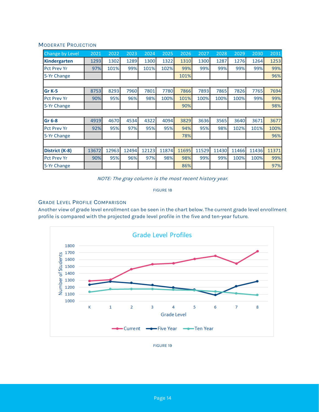#### MODERATE PROJECTION

| Change by Level     | 2021  | 2022  | $20\overline{23}$ | 2024  | 2025  | 2026  | 2027  | 2028  | 2029  | 2030  | 2031  |
|---------------------|-------|-------|-------------------|-------|-------|-------|-------|-------|-------|-------|-------|
| <b>Kindergarten</b> | 1293  | 1302  | 1289              | 1300  | 1322  | 1310  | 1300  | 1287  | 1276  | 1264  | 1253  |
| <b>Pct Prev Yr</b>  | 97%   | 101%  | 99%               | 101%  | 102%  | 99%   | 99%   | 99%   | 99%   | 99%   | 99%   |
| 5-Yr Change         |       |       |                   |       |       | 101%  |       |       |       |       | 96%   |
|                     |       |       |                   |       |       |       |       |       |       |       |       |
| Gr K-5              | 8753  | 8293  | 7960              | 7801  | 7780  | 7866  | 7893  | 7865  | 7826  | 7765  | 7694  |
| <b>Pct Prev Yr</b>  | 90%   | 95%   | 96%               | 98%   | 100%  | 101%  | 100%  | 100%  | 100%  | 99%   | 99%   |
| 5-Yr Change         |       |       |                   |       |       | 90%   |       |       |       |       | 98%   |
|                     |       |       |                   |       |       |       |       |       |       |       |       |
| Gr 6-8              | 4919  | 4670  | 4534              | 4322  | 4094  | 3829  | 3636  | 3565  | 3640  | 3671  | 3677  |
| <b>Pct Prev Yr</b>  | 92%   | 95%   | 97%               | 95%   | 95%   | 94%   | 95%   | 98%   | 102%  | 101%  | 100%  |
| 5-Yr Change         |       |       |                   |       |       | 78%   |       |       |       |       | 96%   |
|                     |       |       |                   |       |       |       |       |       |       |       |       |
| District (K-8)      | 13672 | 12963 | 12494             | 12123 | 11874 | 11695 | 11529 | 11430 | 11466 | 11436 | 11371 |
| <b>Pct Prev Yr</b>  | 90%   | 95%   | 96%               | 97%   | 98%   | 98%   | 99%   | 99%   | 100%  | 100%  | 99%   |
| 5-Yr Change         |       |       |                   |       |       | 86%   |       |       |       |       | 97%   |

NOTE: The gray column is the most recent history year.

FIGURE 18

#### GRADE LEVEL PROFILE COMPARISON

Another view of grade level enrollment can be seen in the chart below. The current grade level enrollment profile is compared with the projected grade level profile in the five and ten-year future.

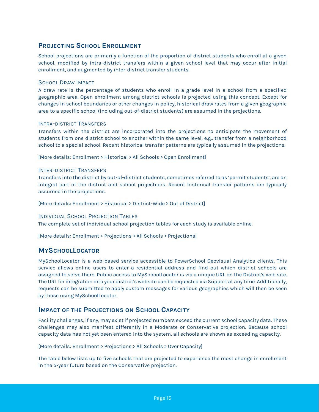#### **PROJECTING SCHOOL ENROLLMENT**

School projections are primarily a function of the proportion of district students who enroll at a given school, modified by intra-district transfers within a given school level that may occur after initial enrollment, and augmented by inter-district transfer students.

#### SCHOOL DRAW IMPACT

A draw rate is the percentage of students who enroll in a grade level in a school from a specified geographic area. Open enrollment among district schools is projected using this concept. Except for changes in school boundaries or other changes in policy, historical draw rates from a given geographic area to a specific school (including out-of-district students) are assumed in the projections.

#### INTRA-DISTRICT TRANSFERS

Transfers within the district are incorporated into the projections to anticipate the movement of students from one district school to another within the same level, e.g., transfer from a neighborhood school to a special school. Recent historical transfer patterns are typically assumed in the projections.

[More details: Enrollment > Historical > All Schools > Open Enrollment]

#### INTER-DISTRICT TRANSFERS

Transfers into the district by out-of-district students, sometimes referred to as 'permit students', are an integral part of the district and school projections. Recent historical transfer patterns are typically assumed in the projections.

[More details: Enrollment > Historical > District-Wide > Out of District]

#### INDIVIDUAL SCHOOL PROJECTION TABLES

The complete set of individual school projection tables for each study is available online.

[More details: Enrollment > Projections > All Schools > Projections]

#### **MYSCHOOLLOCATOR**

MySchoolLocator is a web-based service accessible to PowerSchool Geovisual Analytics clients. This service allows online users to enter a residential address and find out which district schools are assigned to serve them. Public access to MySchoolLocator is via a unique URL on the District's web site. The URL for integration into your district's website can be requested via Support at any time. Additionally, requests can be submitted to apply custom messages for various geographies which will then be seen by those using MySchoolLocator.

#### **IMPACT OF THE PROJECTIONS ON SCHOOL CAPACITY**

Facility challenges, if any, may exist if projected numbers exceed the current school capacity data. These challenges may also manifest differently in a Moderate or Conservative projection. Because school capacity data has not yet been entered into the system, all schools are shown as exceeding capacity.

[More details: Enrollment > Projections > All Schools > Over Capacity]

The table below lists up to five schools that are projected to experience the most change in enrollment in the 5-year future based on the Conservative projection.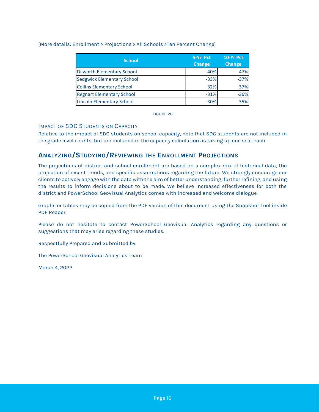#### [More details: Enrollment > Projections > All Schools >Ten Percent Change]

| <b>School</b>                     | 5-Yr Pct      | 10-Yr Pct<br><b>Change</b> |  |  |
|-----------------------------------|---------------|----------------------------|--|--|
|                                   | <b>Change</b> |                            |  |  |
| <b>Dilworth Elementary School</b> | $-40%$        | $-47%$                     |  |  |
| <b>Sedgwick Elementary School</b> | $-33%$        | $-37%$                     |  |  |
| <b>Collins Elementary School</b>  | $-32%$        | $-37%$                     |  |  |
| <b>Regnart Elementary School</b>  | $-31%$        | $-36%$                     |  |  |
| <b>Lincoln Elementary School</b>  | $-30%$        | $-35%$                     |  |  |

FIGURE 20

#### IMPACT OF SDC STUDENTS ON CAPACITY

Relative to the impact of SDC students on school capacity, note that SDC students are not included in the grade level counts, but are included in the capacity calculation as taking up one seat each.

### **ANALYZING/STUDYING/REVIEWING THE ENROLLMENT PROJECTIONS**

The projections of district and school enrollment are based on a complex mix of historical data, the projection of recent trends, and specific assumptions regarding the future. We strongly encourage our clients to actively engage with the data with the aim of better understanding, further refining, and using the results to inform decisions about to be made. We believe increased effectiveness for both the district and PowerSchool Geovisual Analytics comes with increased and welcome dialogue.

Graphs or tables may be copied from the PDF version of this document using the Snapshot Tool inside PDF Reader.

Please do not hesitate to contact PowerSchool Geovisual Analytics regarding any questions or suggestions that may arise regarding these studies.

Respectfully Prepared and Submitted by:

The PowerSchool Geovisual Analytics Team

March 4, 2022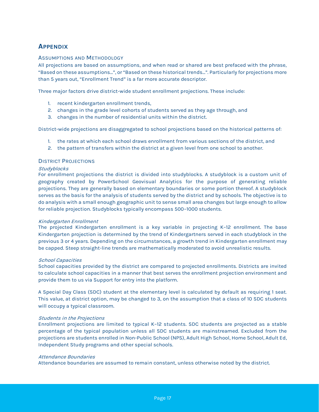## **APPENDIX**

#### ASSUMPTIONS AND METHODOLOGY

All projections are based on assumptions, and when read or shared are best prefaced with the phrase, "Based on these assumptions…", or "Based on these historical trends…". Particularly for projections more than 5 years out, "Enrollment Trend" is a far more accurate descriptor.

Three major factors drive district-wide student enrollment projections. These include:

- 1. recent kindergarten enrollment trends,
- 2. changes in the grade level cohorts of students served as they age through, and
- 3. changes in the number of residential units within the district.

District-wide projections are disaggregated to school projections based on the historical patterns of:

- 1. the rates at which each school draws enrollment from various sections of the district, and
- 2. the pattern of transfers within the district at a given level from one school to another.

#### DISTRICT PROJECTIONS

#### **Studyblocks**

For enrollment projections the district is divided into studyblocks. A studyblock is a custom unit of geography created by PowerSchool Geovisual Analytics for the purpose of generating reliable projections. They are generally based on elementary boundaries or some portion thereof. A studyblock serves as the basis for the analysis of students served by the district and by schools. The objective is to do analysis with a small enough geographic unit to sense small area changes but large enough to allow for reliable projection. Studyblocks typically encompass 500–1000 students.

#### Kindergarten Enrollment

The projected Kindergarten enrollment is a key variable in projecting K–12 enrollment. The base Kindergarten projection is determined by the trend of Kindergartners served in each studyblock in the previous 3 or 4 years. Depending on the circumstances, a growth trend in Kindergarten enrollment may be capped. Steep straight-line trends are mathematically moderated to avoid unrealistic results.

#### School Capacities

School capacities provided by the district are compared to projected enrollments. Districts are invited to calculate school capacities in a manner that best serves the enrollment projection environment and provide them to us via Support for entry into the platform.

A Special Day Class (SDC) student at the elementary level is calculated by default as requiring 1 seat. This value, at district option, may be changed to 3, on the assumption that a class of 10 SDC students will occupy a typical classroom.

#### Students in the Projections

Enrollment projections are limited to typical K–12 students. SDC students are projected as a stable percentage of the typical population unless all SDC students are mainstreamed. Excluded from the projections are students enrolled in Non-Public School (NPS), Adult High School, Home School, Adult Ed, Independent Study programs and other special schools.

#### Attendance Boundaries

Attendance boundaries are assumed to remain constant, unless otherwise noted by the district.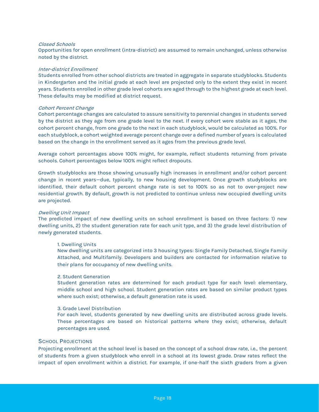#### Closed Schools

Opportunities for open enrollment (intra-district) are assumed to remain unchanged, unless otherwise noted by the district.

#### Inter-district Enrollment

Students enrolled from other school districts are treated in aggregate in separate studyblocks. Students in Kindergarten and the initial grade at each level are projected only to the extent they exist in recent years. Students enrolled in other grade level cohorts are aged through to the highest grade at each level. These defaults may be modified at district request.

#### Cohort Percent Change

Cohort percentage changes are calculated to assure sensitivity to perennial changes in students served by the district as they age from one grade level to the next. If every cohort were stable as it ages, the cohort percent change, from one grade to the next in each studyblock, would be calculated as 100%. For each studyblock, a cohort weighted average percent change over a defined number of years is calculated based on the change in the enrollment served as it ages from the previous grade level.

Average cohort percentages above 100% might, for example, reflect students returning from private schools. Cohort percentages below 100% might reflect dropouts.

Growth studyblocks are those showing unusually high increases in enrollment and/or cohort percent change in recent years—due, typically, to new housing development. Once growth studyblocks are identified, their default cohort percent change rate is set to 100% so as not to over-project new residential growth. By default, growth is not predicted to continue unless new occupied dwelling units are projected.

#### Dwelling Unit Impact

The predicted impact of new dwelling units on school enrollment is based on three factors: 1) new dwelling units, 2) the student generation rate for each unit type, and 3) the grade level distribution of newly generated students.

#### 1. Dwelling Units

New dwelling units are categorized into 3 housing types: Single Family Detached, Single Family Attached, and Multifamily. Developers and builders are contacted for information relative to their plans for occupancy of new dwelling units.

#### 2. Student Generation

Student generation rates are determined for each product type for each level: elementary, middle school and high school. Student generation rates are based on similar product types where such exist; otherwise, a default generation rate is used.

#### 3. Grade Level Distribution

For each level, students generated by new dwelling units are distributed across grade levels. These percentages are based on historical patterns where they exist; otherwise, default percentages are used.

#### SCHOOL PROJECTIONS

Projecting enrollment at the school level is based on the concept of a school draw rate, i.e., the percent of students from a given studyblock who enroll in a school at its lowest grade. Draw rates reflect the impact of open enrollment within a district. For example, if one-half the sixth graders from a given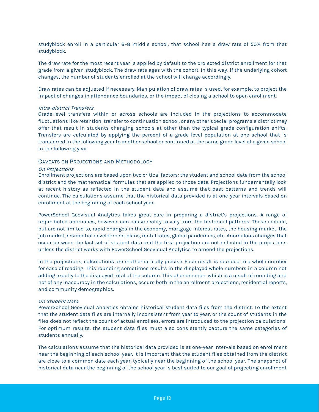studyblock enroll in a particular 6–8 middle school, that school has a draw rate of 50% from that studyblock.

The draw rate for the most recent year is applied by default to the projected district enrollment for that grade from a given studyblock. The draw rate ages with the cohort. In this way, if the underlying cohort changes, the number of students enrolled at the school will change accordingly.

Draw rates can be adjusted if necessary. Manipulation of draw rates is used, for example, to project the impact of changes in attendance boundaries, or the impact of closing a school to open enrollment.

#### Intra-district Transfers

Grade-level transfers within or across schools are included in the projections to accommodate fluctuations like retention, transfer to continuation school, or any other special programs a district may offer that result in students changing schools at other than the typical grade configuration shifts. Transfers are calculated by applying the percent of a grade level population at one school that is transferred in the following year to another school or continued at the same grade level at a given school in the following year.

#### CAVEATS ON PROJECTIONS AND METHODOLOGY

#### On Projections

Enrollment projections are based upon two critical factors: the student and school data from the school district and the mathematical formulas that are applied to those data. Projections fundamentally look at recent history as reflected in the student data and assume that past patterns and trends will continue. The calculations assume that the historical data provided is at one-year intervals based on enrollment at the beginning of each school year.

PowerSchool Geovisual Analytics takes great care in preparing a district's projections. A range of unpredicted anomalies, however, can cause reality to vary from the historical patterns. These include, but are not limited to, rapid changes in the economy, mortgage interest rates, the housing market, the job market, residential development plans, rental rates, global pandemics, etc. Anomalous changes that occur between the last set of student data and the first projection are not reflected in the projections unless the district works with PowerSchool Geovisual Analytics to amend the projections.

In the projections, calculations are mathematically precise. Each result is rounded to a whole number for ease of reading. This rounding sometimes results in the displayed whole numbers in a column not adding exactly to the displayed total of the column. This phenomenon, which is a result of rounding and not of any inaccuracy in the calculations, occurs both in the enrollment projections, residential reports, and community demographics.

#### On Student Data

PowerSchool Geovisual Analytics obtains historical student data files from the district. To the extent that the student data files are internally inconsistent from year to year, or the count of students in the files does not reflect the count of actual enrollees, errors are introduced to the projection calculations. For optimum results, the student data files must also consistently capture the same categories of students annually.

The calculations assume that the historical data provided is at one-year intervals based on enrollment near the beginning of each school year. It is important that the student files obtained from the district are close to a common date each year, typically near the beginning of the school year. The snapshot of historical data near the beginning of the school year is best suited to our goal of projecting enrollment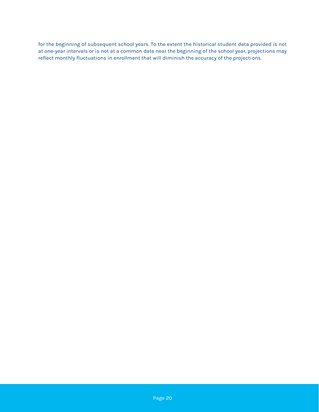for the beginning of subsequent school years. To the extent the historical student data provided is not at one-year intervals or is not at a common date near the beginning of the school year, projections may reflect monthly fluctuations in enrollment that will diminish the accuracy of the projections.